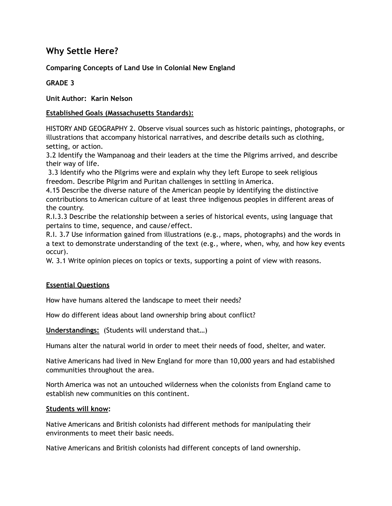# **Why Settle Here?**

### **Comparing Concepts of Land Use in Colonial New England**

### **GRADE 3**

**Unit Author: Karin Nelson** 

### **Established Goals (Massachusetts Standards):**

HISTORY AND GEOGRAPHY 2. Observe visual sources such as historic paintings, photographs, or illustrations that accompany historical narratives, and describe details such as clothing, setting, or action.

3.2 Identify the Wampanoag and their leaders at the time the Pilgrims arrived, and describe their way of life.

 3.3 Identify who the Pilgrims were and explain why they left Europe to seek religious freedom. Describe Pilgrim and Puritan challenges in settling in America.

4.15 Describe the diverse nature of the American people by identifying the distinctive contributions to American culture of at least three indigenous peoples in different areas of the country.

R.I.3.3 Describe the relationship between a series of historical events, using language that pertains to time, sequence, and cause/effect.

R.I. 3.7 Use information gained from illustrations (e.g., maps, photographs) and the words in a text to demonstrate understanding of the text (e.g., where, when, why, and how key events occur).

W. 3.1 Write opinion pieces on topics or texts, supporting a point of view with reasons.

### **Essential Questions**

How have humans altered the landscape to meet their needs?

How do different ideas about land ownership bring about conflict?

**Understandings:** (Students will understand that…)

Humans alter the natural world in order to meet their needs of food, shelter, and water.

Native Americans had lived in New England for more than 10,000 years and had established communities throughout the area.

North America was not an untouched wilderness when the colonists from England came to establish new communities on this continent.

#### **Students will know:**

Native Americans and British colonists had different methods for manipulating their environments to meet their basic needs.

Native Americans and British colonists had different concepts of land ownership.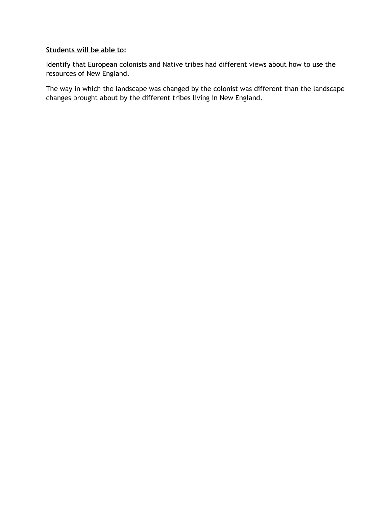### **Students will be able to:**

Identify that European colonists and Native tribes had different views about how to use the resources of New England.

The way in which the landscape was changed by the colonist was different than the landscape changes brought about by the different tribes living in New England.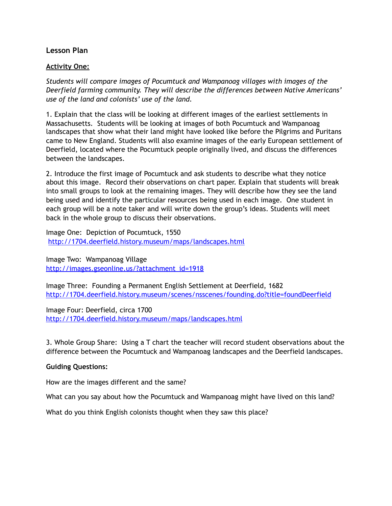### **Lesson Plan**

#### **Activity One:**

*Students will compare images of Pocumtuck and Wampanoag villages with images of the Deerfield farming community. They will describe the differences between Native Americans' use of the land and colonists' use of the land.* 

1. Explain that the class will be looking at different images of the earliest settlements in Massachusetts. Students will be looking at images of both Pocumtuck and Wampanoag landscapes that show what their land might have looked like before the Pilgrims and Puritans came to New England. Students will also examine images of the early European settlement of Deerfield, located where the Pocumtuck people originally lived, and discuss the differences between the landscapes.

2. Introduce the first image of Pocumtuck and ask students to describe what they notice about this image. Record their observations on chart paper. Explain that students will break into small groups to look at the remaining images. They will describe how they see the land being used and identify the particular resources being used in each image. One student in each group will be a note taker and will write down the group's ideas. Students will meet back in the whole group to discuss their observations.

Image One: Depiction of Pocumtuck, 1550 <http://1704.deerfield.history.museum/maps/landscapes.html>

Image Two: Wampanoag Village [http://images.gseonline.us/?attachment\\_id=1918](http://images.gseonline.us/?attachment_id=1918)

Image Three: Founding a Permanent English Settlement at Deerfield, 1682 <http://1704.deerfield.history.museum/scenes/nsscenes/founding.do?title=foundDeerfield>

Image Four: Deerfield, circa 1700 <http://1704.deerfield.history.museum/maps/landscapes.html>

3. Whole Group Share: Using a T chart the teacher will record student observations about the difference between the Pocumtuck and Wampanoag landscapes and the Deerfield landscapes.

#### **Guiding Questions:**

How are the images different and the same?

What can you say about how the Pocumtuck and Wampanoag might have lived on this land?

What do you think English colonists thought when they saw this place?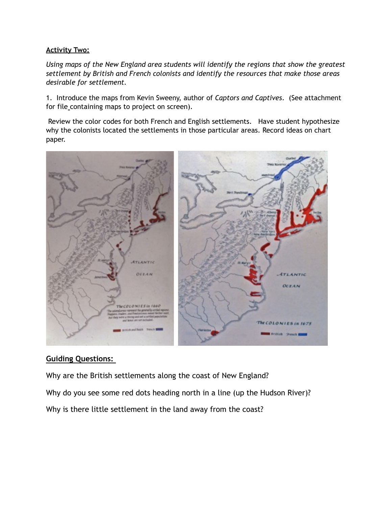### **Activity Two:**

*Using maps of the New England area students will identify the regions that show the greatest settlement by British and French colonists and identify the resources that make those areas desirable for settlement.* 

1. Introduce the maps from Kevin Sweeny, author of *Captors and Captives*. (See attachment for file\_containing maps to project on screen).

 Review the color codes for both French and English settlements. Have student hypothesize why the colonists located the settlements in those particular areas. Record ideas on chart paper.



## **Guiding Questions:**

Why are the British settlements along the coast of New England?

Why do you see some red dots heading north in a line (up the Hudson River)?

Why is there little settlement in the land away from the coast?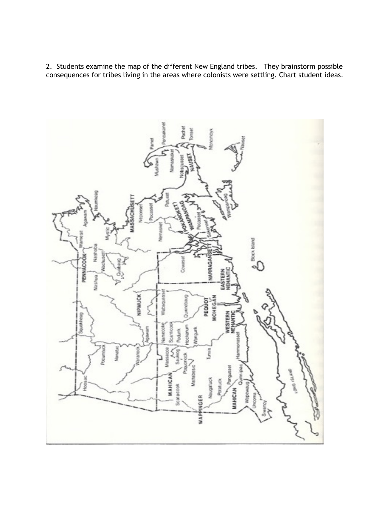2. Students examine the map of the different New England tribes. They brainstorm possible consequences for tribes living in the areas where colonists were settling. Chart student ideas.

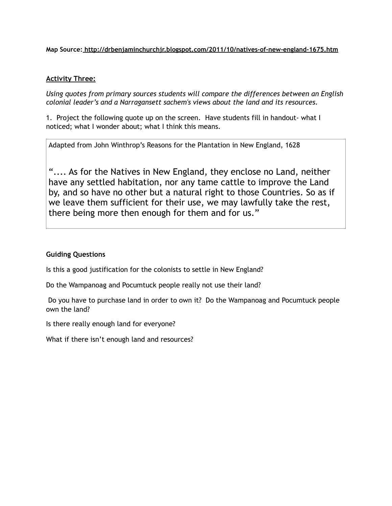**Map Source: http://drbenjaminchurchjr.blogspot.com/2011/10/natives-of-new-england-1675.htm** 

#### **Activity Three:**

*Using quotes from primary sources students will compare the differences between an English colonial leader's and a Narragansett sachem's views about the land and its resources.* 

1. Project the following quote up on the screen. Have students fill in handout- what I noticed; what I wonder about; what I think this means.

Adapted from John Winthrop's Reasons for the Plantation in New England, 1628

".... As for the Natives in New England, they enclose no Land, neither have any settled habitation, nor any tame cattle to improve the Land by, and so have no other but a natural right to those Countries. So as if we leave them sufficient for their use, we may lawfully take the rest, there being more then enough for them and for us."

### **Guiding Questions**

Is this a good justification for the colonists to settle in New England?

Do the Wampanoag and Pocumtuck people really not use their land?

 Do you have to purchase land in order to own it? Do the Wampanoag and Pocumtuck people own the land?

Is there really enough land for everyone?

What if there isn't enough land and resources?